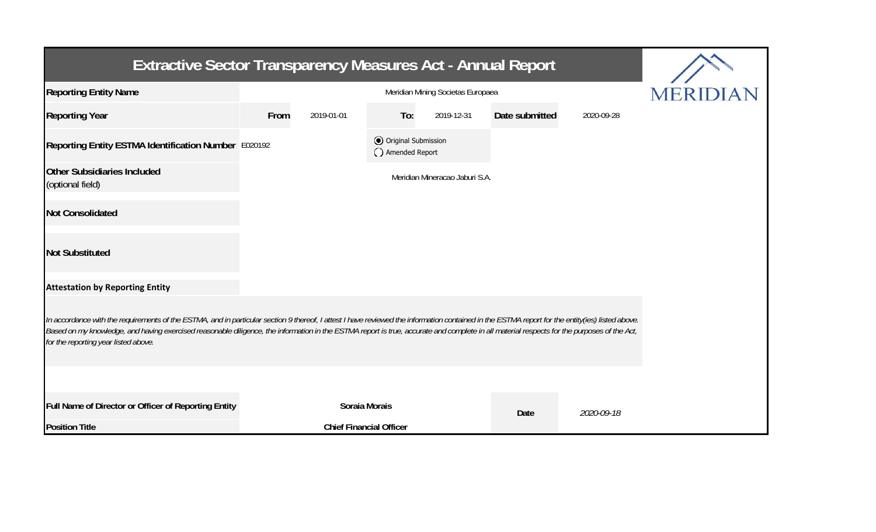| <b>Extractive Sector Transparency Measures Act - Annual Report</b>                                                                                                                                                                                                                                                                                                                                                                    |      |                                |                                                |                                |                |            |  |  |  |  |
|---------------------------------------------------------------------------------------------------------------------------------------------------------------------------------------------------------------------------------------------------------------------------------------------------------------------------------------------------------------------------------------------------------------------------------------|------|--------------------------------|------------------------------------------------|--------------------------------|----------------|------------|--|--|--|--|
| <b>Reporting Entity Name</b>                                                                                                                                                                                                                                                                                                                                                                                                          |      | <b>MERIDIAN</b>                |                                                |                                |                |            |  |  |  |  |
| <b>Reporting Year</b>                                                                                                                                                                                                                                                                                                                                                                                                                 | From | 2019-01-01                     | To:                                            | 2019-12-31                     | Date submitted | 2020-09-28 |  |  |  |  |
| Reporting Entity ESTMA Identification Number E020192                                                                                                                                                                                                                                                                                                                                                                                  |      |                                | <b>⊙</b> Original Submission<br>Amended Report |                                |                |            |  |  |  |  |
| <b>Other Subsidiaries Included</b><br>(optional field)                                                                                                                                                                                                                                                                                                                                                                                |      |                                |                                                | Meridian Mineracao Jaburi S.A. |                |            |  |  |  |  |
| <b>Not Consolidated</b>                                                                                                                                                                                                                                                                                                                                                                                                               |      |                                |                                                |                                |                |            |  |  |  |  |
| <b>Not Substituted</b>                                                                                                                                                                                                                                                                                                                                                                                                                |      |                                |                                                |                                |                |            |  |  |  |  |
| <b>Attestation by Reporting Entity</b>                                                                                                                                                                                                                                                                                                                                                                                                |      |                                |                                                |                                |                |            |  |  |  |  |
| In accordance with the requirements of the ESTMA, and in particular section 9 thereof, I attest I have reviewed the information contained in the ESTMA report for the entity(ies) listed above.<br>Based on my knowledge, and having exercised reasonable diligence, the information in the ESTMA report is true, accurate and complete in all material respects for the purposes of the Act,<br>for the reporting year listed above. |      |                                |                                                |                                |                |            |  |  |  |  |
|                                                                                                                                                                                                                                                                                                                                                                                                                                       |      |                                |                                                |                                |                |            |  |  |  |  |
| Full Name of Director or Officer of Reporting Entity                                                                                                                                                                                                                                                                                                                                                                                  |      | Soraia Morais                  |                                                |                                | Date           | 2020-09-18 |  |  |  |  |
| <b>Position Title</b>                                                                                                                                                                                                                                                                                                                                                                                                                 |      | <b>Chief Financial Officer</b> |                                                |                                |                |            |  |  |  |  |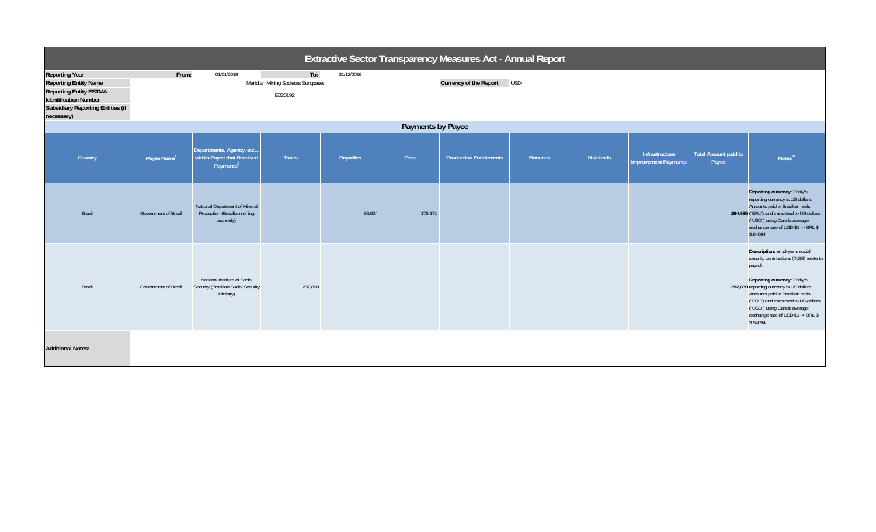| Extractive Sector Transparency Measures Act - Annual Report                                                                                                                      |                         |                                                                                  |                                                     |            |         |                                |                |                  |                                               |                                      |                                                                                                                                                                                                                                                                                                                               |
|----------------------------------------------------------------------------------------------------------------------------------------------------------------------------------|-------------------------|----------------------------------------------------------------------------------|-----------------------------------------------------|------------|---------|--------------------------------|----------------|------------------|-----------------------------------------------|--------------------------------------|-------------------------------------------------------------------------------------------------------------------------------------------------------------------------------------------------------------------------------------------------------------------------------------------------------------------------------|
| <b>Reporting Year</b><br><b>Reporting Entity Name</b><br><b>Reporting Entity ESTMA</b><br><b>Identification Number</b><br><b>Subsidiary Reporting Entities (if</b><br>necessary) | From:                   | 01/01/2019                                                                       | To:<br>Meridian Mining Societas Europaea<br>E020192 | 31/12/2019 |         | Currency of the Report USD     |                |                  |                                               |                                      |                                                                                                                                                                                                                                                                                                                               |
| Payments by Payee                                                                                                                                                                |                         |                                                                                  |                                                     |            |         |                                |                |                  |                                               |                                      |                                                                                                                                                                                                                                                                                                                               |
| Country                                                                                                                                                                          | Payee Name <sup>1</sup> | Departments, Agency, etc<br>within Payee that Received<br>Payments <sup>2</sup>  | <b>Taxes</b>                                        | Royalties  | Fees    | <b>Production Entitlements</b> | <b>Bonuses</b> | <b>Dividends</b> | Infrastructure<br><b>Improvement Payments</b> | <b>Total Amount paid to</b><br>Payee | Notes <sup>34</sup>                                                                                                                                                                                                                                                                                                           |
| Brazil                                                                                                                                                                           | Government of Brazil    | National Department of Mineral<br>Production (Brazilian mining<br>authority)     |                                                     | 89,824     | 175,171 |                                |                |                  |                                               |                                      | Reporting currency: Entity's<br>reporting currency is US dollars.<br>Amounts paid in Brazilian reals<br>264,995 ("BRL") and translated to US dollars<br>("USD") using Oanda average<br>exchange rate of USD \$1 -> BRL \$<br>3.94094                                                                                          |
| Brazil                                                                                                                                                                           | Government of Brazil    | National Institute of Social<br>Security (Brazilian Social Security<br>Ministry) | 292,809                                             |            |         |                                |                |                  |                                               |                                      | Description: employer's social<br>security contributions (INSS) relate to<br>payroll.<br>Reporting currency: Entity's<br>292,809 reporting currency is US dollars.<br>Amounts paid in Brazilian reals<br>("BRL") and translated to US dollars<br>("USD") using Oanda average<br>exchange rate of USD \$1 -> BRL \$<br>3.94094 |
| <b>Additional Notes:</b>                                                                                                                                                         |                         |                                                                                  |                                                     |            |         |                                |                |                  |                                               |                                      |                                                                                                                                                                                                                                                                                                                               |